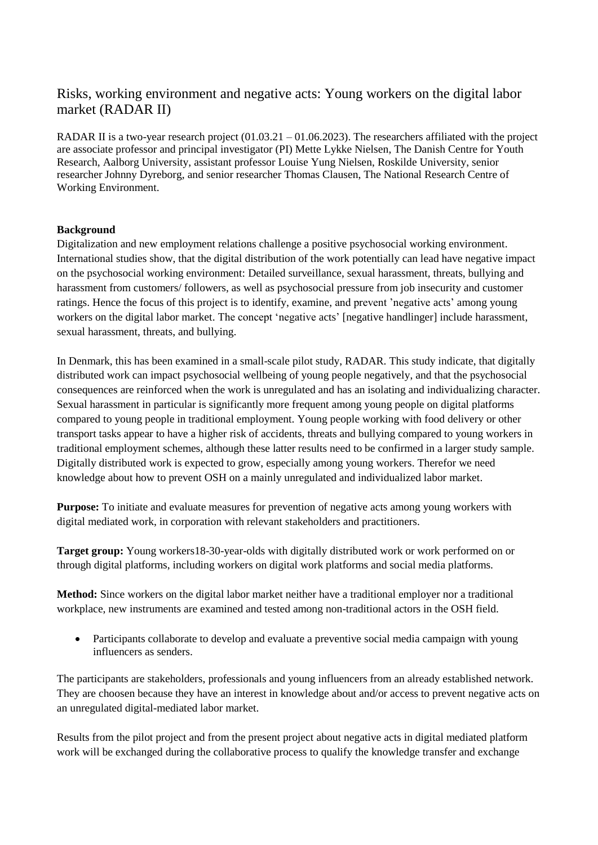## Risks, working environment and negative acts: Young workers on the digital labor market (RADAR II)

RADAR II is a two-year research project (01.03.21 – 01.06.2023). The researchers affiliated with the project are associate professor and principal investigator (PI) Mette Lykke Nielsen, The Danish Centre for Youth Research, Aalborg University, assistant professor Louise Yung Nielsen, Roskilde University, senior researcher Johnny Dyreborg, and senior researcher Thomas Clausen, The National Research Centre of Working Environment.

## **Background**

Digitalization and new employment relations challenge a positive psychosocial working environment. International studies show, that the digital distribution of the work potentially can lead have negative impact on the psychosocial working environment: Detailed surveillance, sexual harassment, threats, bullying and harassment from customers/ followers, as well as psychosocial pressure from job insecurity and customer ratings. Hence the focus of this project is to identify, examine, and prevent 'negative acts' among young workers on the digital labor market. The concept 'negative acts' [negative handlinger] include harassment, sexual harassment, threats, and bullying.

In Denmark, this has been examined in a small-scale pilot study, RADAR. This study indicate, that digitally distributed work can impact psychosocial wellbeing of young people negatively, and that the psychosocial consequences are reinforced when the work is unregulated and has an isolating and individualizing character. Sexual harassment in particular is significantly more frequent among young people on digital platforms compared to young people in traditional employment. Young people working with food delivery or other transport tasks appear to have a higher risk of accidents, threats and bullying compared to young workers in traditional employment schemes, although these latter results need to be confirmed in a larger study sample. Digitally distributed work is expected to grow, especially among young workers. Therefor we need knowledge about how to prevent OSH on a mainly unregulated and individualized labor market.

**Purpose:** To initiate and evaluate measures for prevention of negative acts among young workers with digital mediated work, in corporation with relevant stakeholders and practitioners.

**Target group:** Young workers18-30-year-olds with digitally distributed work or work performed on or through digital platforms, including workers on digital work platforms and social media platforms.

**Method:** Since workers on the digital labor market neither have a traditional employer nor a traditional workplace, new instruments are examined and tested among non-traditional actors in the OSH field.

 Participants collaborate to develop and evaluate a preventive social media campaign with young influencers as senders.

The participants are stakeholders, professionals and young influencers from an already established network. They are choosen because they have an interest in knowledge about and/or access to prevent negative acts on an unregulated digital-mediated labor market.

Results from the pilot project and from the present project about negative acts in digital mediated platform work will be exchanged during the collaborative process to qualify the knowledge transfer and exchange